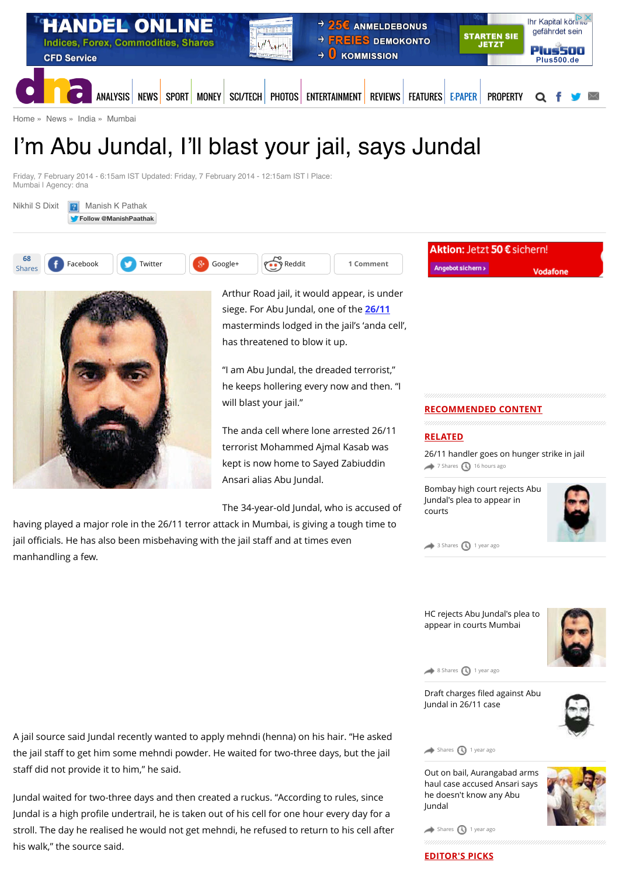

[Home](http://www.dnaindia.com/) » [News](http://www.dnaindia.com/news) » [India](http://www.dnaindia.com/india) » [Mumbai](http://www.dnaindia.com/mumbai)

# I'm Abu Jundal, I'll blast your jail, says Jundal

Friday, 7 February 2014 - 6:15am IST Updated: Friday, 7 February 2014 - 12:15am IST | Place: Mumbai | Agency: dna





Arthur Road jail, it would appear, is under siege. For Abu Jundal, one of the **[26/11](http://www.dnaindia.com/topic/2611)** masterminds lodged in the jail's 'anda cell', has threatened to blow it up.

"I am Abu Jundal, the dreaded terrorist," he keeps hollering every now and then. "I will blast your jail."

The anda cell where lone arrested 26/11 terrorist Mohammed Ajmal Kasab was kept is now home to Sayed Zabiuddin Ansari alias Abu Jundal.

The 34-year-old Jundal, who is accused of

having played a major role in the 26/11 terror attack in Mumbai, is giving a tough time to jail officials. He has also been misbehaving with the jail staff and at times even manhandling a few.

Angebot sichern >

**Vodafone** 

# **RECOMMENDED CONTENT**

# **RELATED**

[26/11 handler goes on hunger strike in jail](http://www.dnaindia.com/mumbai/report-2611-handler-goes-on-hunger-strike-in-jail-2111870) [7 Shares](http://www.dnaindia.com/mumbai/report-i-m-abu-jundal-i-ll-blast-your-jail-says-jundal-1959893#) [16 hours ago](http://www.dnaindia.com/mumbai/report-i-m-abu-jundal-i-ll-blast-your-jail-says-jundal-1959893#)

[Bombay high court rejects Abu](http://www.dnaindia.com/mumbai/report-bombay-high-court-rejects-abu-jundal-s-plea-to-appear-in-courts-1983434) Jundal's plea to appear in courts



[3 Shares](http://www.dnaindia.com/mumbai/report-i-m-abu-jundal-i-ll-blast-your-jail-says-jundal-1959893#) [1 year ago](http://www.dnaindia.com/mumbai/report-i-m-abu-jundal-i-ll-blast-your-jail-says-jundal-1959893#)

[HC rejects Abu Jundal's plea to](http://www.dnaindia.com/mumbai/report-hc-rejects-abu-jundal-s-plea-to-appear-in-courts-mumbai-1983376) appear in courts Mumbai



[8 Shares](http://www.dnaindia.com/mumbai/report-i-m-abu-jundal-i-ll-blast-your-jail-says-jundal-1959893#) [1 year ago](http://www.dnaindia.com/mumbai/report-i-m-abu-jundal-i-ll-blast-your-jail-says-jundal-1959893#)

Draft charges filed against Abu [Jundal in 26/11 case](http://www.dnaindia.com/mumbai/report-draft-charges-filed-against-abu-jundal-in-2611-case-1941492)



 $\leftrightarrow$  [Shares](http://www.dnaindia.com/mumbai/report-i-m-abu-jundal-i-ll-blast-your-jail-says-jundal-1959893#)  $\bigcirc$  [1 year ago](http://www.dnaindia.com/mumbai/report-i-m-abu-jundal-i-ll-blast-your-jail-says-jundal-1959893#)

[Out on bail, Aurangabad arms](http://www.dnaindia.com/mumbai/report-out-on-bail-aurangabad-arms-haul-case-accused-ansari-says-he-doesnt-know-any-abu-jundal-1921784) haul case accused Ansari says he doesn't know any Abu Jundal



 $\leftrightarrow$  [Shares](http://www.dnaindia.com/mumbai/report-i-m-abu-jundal-i-ll-blast-your-jail-says-jundal-1959893#)  $\bigcirc$  [1 year ago](http://www.dnaindia.com/mumbai/report-i-m-abu-jundal-i-ll-blast-your-jail-says-jundal-1959893#)

A jail source said Jundal recently wanted to apply mehndi (henna) on his hair. "He asked the jail staff to get him some mehndi powder. He waited for two-three days, but the jail staff did not provide it to him," he said.

Jundal waited for two-three days and then created a ruckus. "According to rules, since Jundal is a high profile undertrail, he is taken out of his cell for one hour every day for a stroll. The day he realised he would not get mehndi, he refused to return to his cell after his walk," the source said.

**EDITOR'S PICKS**